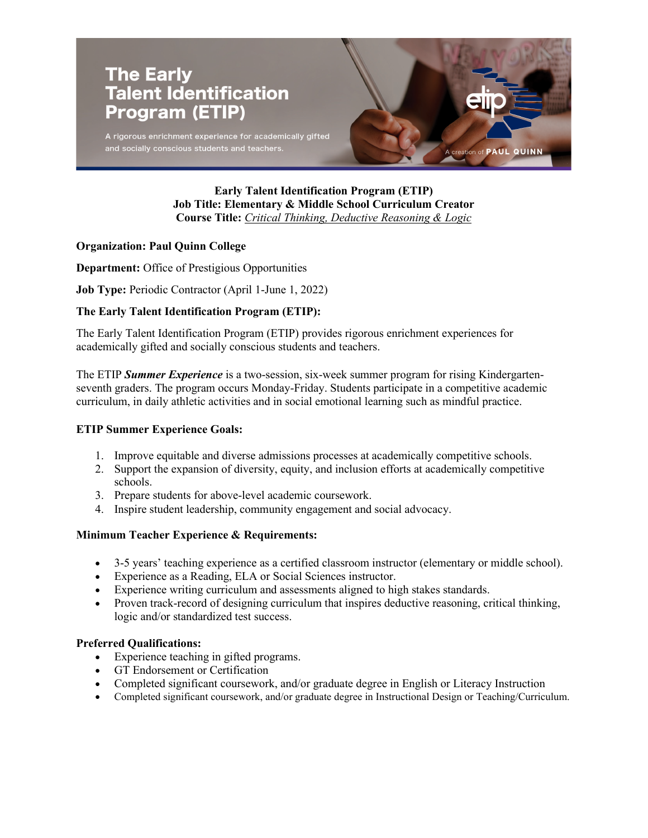

### **Early Talent Identification Program (ETIP) Job Title: Elementary & Middle School Curriculum Creator Course Title:** *Critical Thinking, Deductive Reasoning & Logic*

#### **Organization: Paul Quinn College**

**Department:** Office of Prestigious Opportunities

**Job Type:** Periodic Contractor (April 1-June 1, 2022)

## **The Early Talent Identification Program (ETIP):**

The Early Talent Identification Program (ETIP) provides rigorous enrichment experiences for academically gifted and socially conscious students and teachers.

The ETIP *Summer Experience* is a two-session, six-week summer program for rising Kindergartenseventh graders. The program occurs Monday-Friday. Students participate in a competitive academic curriculum, in daily athletic activities and in social emotional learning such as mindful practice.

#### **ETIP Summer Experience Goals:**

- 1. Improve equitable and diverse admissions processes at academically competitive schools.
- 2. Support the expansion of diversity, equity, and inclusion efforts at academically competitive schools.
- 3. Prepare students for above-level academic coursework.
- 4. Inspire student leadership, community engagement and social advocacy.

# **Minimum Teacher Experience & Requirements:**

- 3-5 years' teaching experience as a certified classroom instructor (elementary or middle school).
- Experience as a Reading, ELA or Social Sciences instructor.
- Experience writing curriculum and assessments aligned to high stakes standards.
- Proven track-record of designing curriculum that inspires deductive reasoning, critical thinking, logic and/or standardized test success.

#### **Preferred Qualifications:**

- Experience teaching in gifted programs.
- GT Endorsement or Certification
- Completed significant coursework, and/or graduate degree in English or Literacy Instruction
- Completed significant coursework, and/or graduate degree in Instructional Design or Teaching/Curriculum.